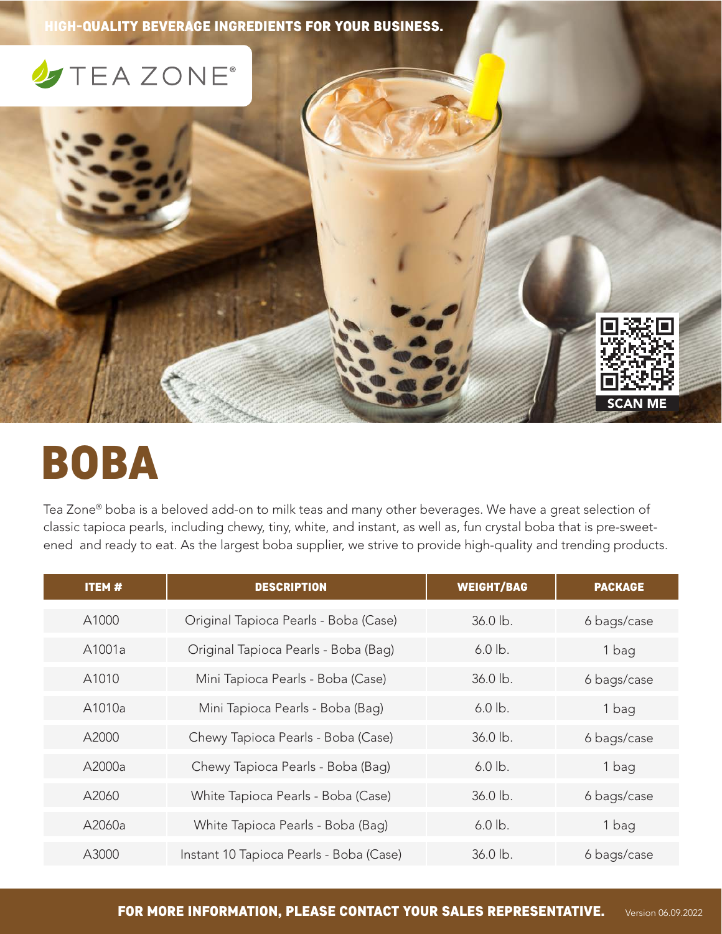HIGH-QUALITY BEVERAGE INGREDIENTS FOR YOUR BUSINESS.

## **J**TEAZONE®

## BOBA

Tea Zone® boba is a beloved add-on to milk teas and many other beverages. We have a great selection of classic tapioca pearls, including chewy, tiny, white, and instant, as well as, fun crystal boba that is pre-sweetened and ready to eat. As the largest boba supplier, we strive to provide high-quality and trending products.

SCAN ME

| <b>ITEM#</b> | <b>DESCRIPTION</b>                      | <b>WEIGHT/BAG</b> | <b>PACKAGE</b> |
|--------------|-----------------------------------------|-------------------|----------------|
| A1000        | Original Tapioca Pearls - Boba (Case)   | 36.0 lb.          | 6 bags/case    |
| A1001a       | Original Tapioca Pearls - Boba (Bag)    | $6.0$ lb.         | 1 bag          |
| A1010        | Mini Tapioca Pearls - Boba (Case)       | $36.0$ lb.        | 6 bags/case    |
| A1010a       | Mini Tapioca Pearls - Boba (Bag)        | $6.0$ lb.         | 1 bag          |
| A2000        | Chewy Tapioca Pearls - Boba (Case)      | 36.0 lb.          | 6 bags/case    |
| A2000a       | Chewy Tapioca Pearls - Boba (Baq)       | $6.0$ lb.         | 1 bag          |
| A2060        | White Tapioca Pearls - Boba (Case)      | 36.0 lb.          | 6 bags/case    |
| A2060a       | White Tapioca Pearls - Boba (Bag)       | $6.0$ lb.         | 1 bag          |
| A3000        | Instant 10 Tapioca Pearls - Boba (Case) | $36.0 \,$ lb.     | 6 bags/case    |